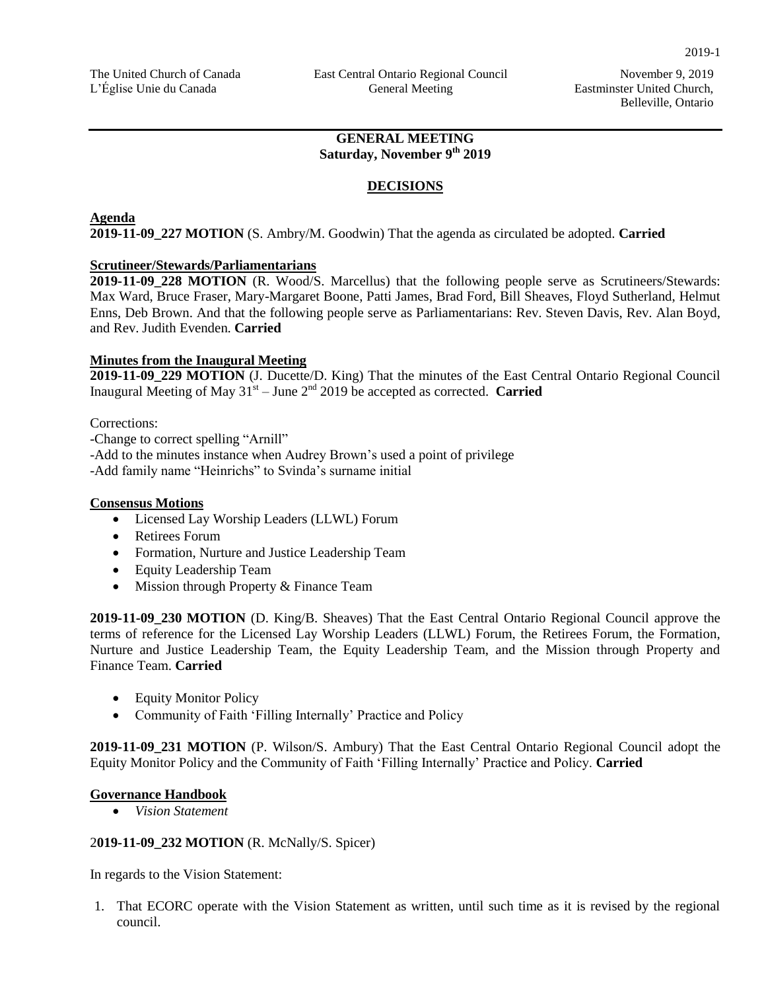### **GENERAL MEETING Saturday, November 9th 2019**

### **DECISIONS**

#### **Agenda**

**2019-11-09\_227 MOTION** (S. Ambry/M. Goodwin) That the agenda as circulated be adopted. **Carried** 

#### **Scrutineer/Stewards/Parliamentarians**

**2019-11-09\_228 MOTION** (R. Wood/S. Marcellus) that the following people serve as Scrutineers/Stewards: Max Ward, Bruce Fraser, Mary-Margaret Boone, Patti James, Brad Ford, Bill Sheaves, Floyd Sutherland, Helmut Enns, Deb Brown. And that the following people serve as Parliamentarians: Rev. Steven Davis, Rev. Alan Boyd, and Rev. Judith Evenden. **Carried**

#### **Minutes from the Inaugural Meeting**

**2019-11-09\_229 MOTION** (J. Ducette/D. King) That the minutes of the East Central Ontario Regional Council Inaugural Meeting of May  $31<sup>st</sup> - June 2<sup>nd</sup> 2019$  be accepted as corrected. **Carried** 

Corrections:

-Change to correct spelling "Arnill"

-Add to the minutes instance when Audrey Brown's used a point of privilege

-Add family name "Heinrichs" to Svinda's surname initial

#### **Consensus Motions**

- Licensed Lay Worship Leaders (LLWL) Forum
- Retirees Forum
- Formation, Nurture and Justice Leadership Team
- Equity Leadership Team
- Mission through Property & Finance Team

**2019-11-09\_230 MOTION** (D. King/B. Sheaves) That the East Central Ontario Regional Council approve the terms of reference for the Licensed Lay Worship Leaders (LLWL) Forum, the Retirees Forum, the Formation, Nurture and Justice Leadership Team, the Equity Leadership Team, and the Mission through Property and Finance Team. **Carried**

- Equity Monitor Policy
- Community of Faith 'Filling Internally' Practice and Policy

**2019-11-09\_231 MOTION** (P. Wilson/S. Ambury) That the East Central Ontario Regional Council adopt the Equity Monitor Policy and the Community of Faith 'Filling Internally' Practice and Policy. **Carried**

#### **Governance Handbook**

*Vision Statement*

#### 2**019-11-09\_232 MOTION** (R. McNally/S. Spicer)

In regards to the Vision Statement:

1. That ECORC operate with the Vision Statement as written, until such time as it is revised by the regional council.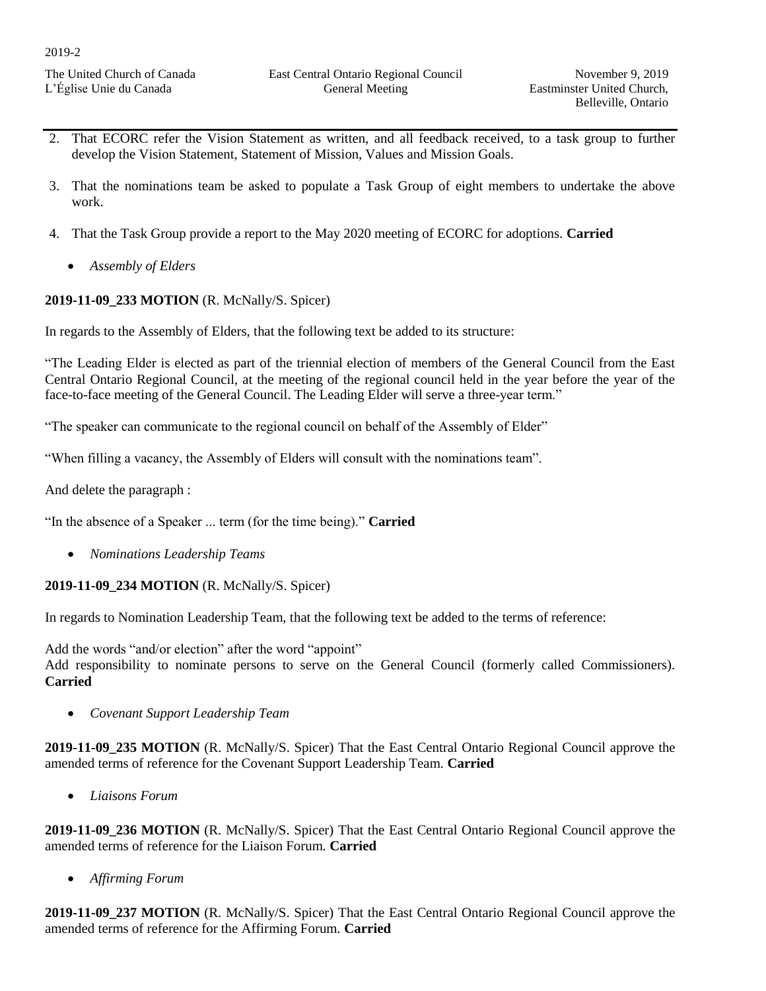The United Church of Canada L'Église Unie du Canada

- 2. That ECORC refer the Vision Statement as written, and all feedback received, to a task group to further develop the Vision Statement, Statement of Mission, Values and Mission Goals.
- 3. That the nominations team be asked to populate a Task Group of eight members to undertake the above work.
- 4. That the Task Group provide a report to the May 2020 meeting of ECORC for adoptions. **Carried**
	- *Assembly of Elders*

# **2019-11-09\_233 MOTION** (R. McNally/S. Spicer)

In regards to the Assembly of Elders, that the following text be added to its structure:

"The Leading Elder is elected as part of the triennial election of members of the General Council from the East Central Ontario Regional Council, at the meeting of the regional council held in the year before the year of the face-to-face meeting of the General Council. The Leading Elder will serve a three-year term."

"The speaker can communicate to the regional council on behalf of the Assembly of Elder"

"When filling a vacancy, the Assembly of Elders will consult with the nominations team".

And delete the paragraph :

"In the absence of a Speaker ... term (for the time being)." **Carried**

*Nominations Leadership Teams*

# **2019-11-09\_234 MOTION** (R. McNally/S. Spicer)

In regards to Nomination Leadership Team, that the following text be added to the terms of reference:

Add the words "and/or election" after the word "appoint" Add responsibility to nominate persons to serve on the General Council (formerly called Commissioners). **Carried**

*Covenant Support Leadership Team*

**2019-11-09\_235 MOTION** (R. McNally/S. Spicer) That the East Central Ontario Regional Council approve the amended terms of reference for the Covenant Support Leadership Team. **Carried**

*Liaisons Forum*

**2019-11-09\_236 MOTION** (R. McNally/S. Spicer) That the East Central Ontario Regional Council approve the amended terms of reference for the Liaison Forum. **Carried** 

*Affirming Forum*

**2019-11-09\_237 MOTION** (R. McNally/S. Spicer) That the East Central Ontario Regional Council approve the amended terms of reference for the Affirming Forum. **Carried**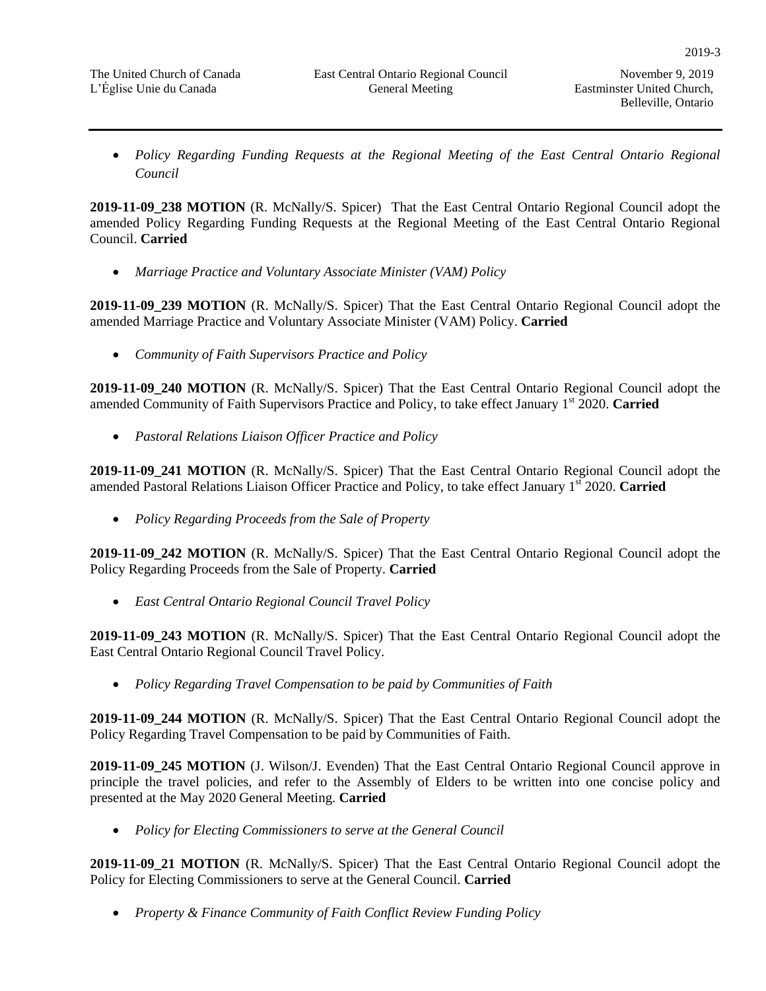• Policy Regarding Funding Requests at the Regional Meeting of the East Central Ontario Regional *Council*

**2019-11-09\_238 MOTION** (R. McNally/S. Spicer) That the East Central Ontario Regional Council adopt the amended Policy Regarding Funding Requests at the Regional Meeting of the East Central Ontario Regional Council. **Carried** 

*Marriage Practice and Voluntary Associate Minister (VAM) Policy*

**2019-11-09\_239 MOTION** (R. McNally/S. Spicer) That the East Central Ontario Regional Council adopt the amended Marriage Practice and Voluntary Associate Minister (VAM) Policy. **Carried**

*Community of Faith Supervisors Practice and Policy*

**2019-11-09\_240 MOTION** (R. McNally/S. Spicer) That the East Central Ontario Regional Council adopt the amended Community of Faith Supervisors Practice and Policy, to take effect January 1st 2020. **Carried** 

*Pastoral Relations Liaison Officer Practice and Policy*

**2019-11-09\_241 MOTION** (R. McNally/S. Spicer) That the East Central Ontario Regional Council adopt the amended Pastoral Relations Liaison Officer Practice and Policy, to take effect January 1st 2020. **Carried**

*Policy Regarding Proceeds from the Sale of Property*

**2019-11-09\_242 MOTION** (R. McNally/S. Spicer) That the East Central Ontario Regional Council adopt the Policy Regarding Proceeds from the Sale of Property. **Carried** 

*East Central Ontario Regional Council Travel Policy*

**2019-11-09\_243 MOTION** (R. McNally/S. Spicer) That the East Central Ontario Regional Council adopt the East Central Ontario Regional Council Travel Policy.

*Policy Regarding Travel Compensation to be paid by Communities of Faith*

**2019-11-09\_244 MOTION** (R. McNally/S. Spicer) That the East Central Ontario Regional Council adopt the Policy Regarding Travel Compensation to be paid by Communities of Faith.

**2019-11-09\_245 MOTION** (J. Wilson/J. Evenden) That the East Central Ontario Regional Council approve in principle the travel policies, and refer to the Assembly of Elders to be written into one concise policy and presented at the May 2020 General Meeting. **Carried** 

*Policy for Electing Commissioners to serve at the General Council*

**2019-11-09\_21 MOTION** (R. McNally/S. Spicer) That the East Central Ontario Regional Council adopt the Policy for Electing Commissioners to serve at the General Council. **Carried** 

*Property & Finance Community of Faith Conflict Review Funding Policy*